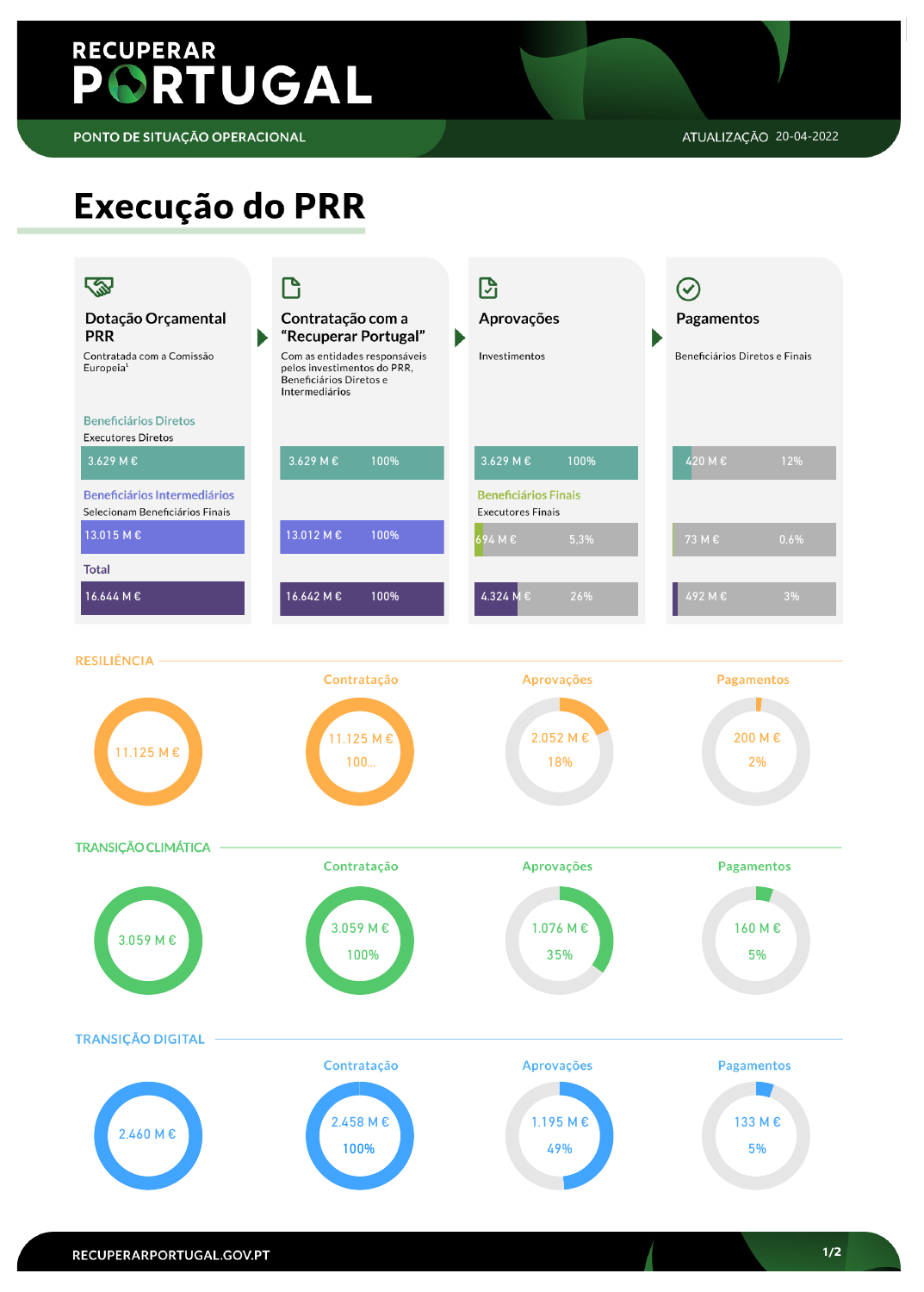# **RECUPERAR** PORTUGAL

PONTO DE SITUAÇÃO OPERACIONAL

## Execução do PRR



**TRANSIÇÃO CLIMÁTICA** 



### RECUPERARPORTUGAL.GOV.PT